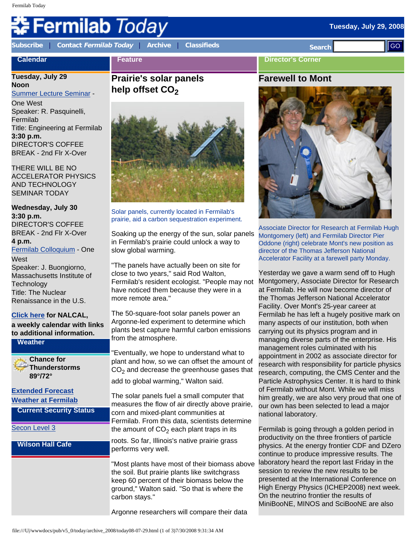# Fermilab *Today*

**Calendar**

**[Subscribe](http://www.fnal.gov/pub/today/subscription.html)** | **Contact [Fermilab Today](mailto:today@fnal.gov)** | **[Archive](http://www.fnal.gov/pub/today/archive.html)** | **[Classifieds](http://www.fnal.gov/pub/today/classifieds.html) Search** 

**Feature**

#### **Director's Corner**

# **Tuesday, July 29**

**Noon** [Summer Lecture Seminar](http://sist.fnal.gov/lectures.html) - One West Speaker: R. Pasquinelli, Fermilab Title: Engineering at Fermilab **3:30 p.m.**

DIRECTOR'S COFFEE BREAK - 2nd Flr X-Over

THERE WILL BE NO ACCELERATOR PHYSICS AND TECHNOLOGY SEMINAR TODAY

**Wednesday, July 30 3:30 p.m.** DIRECTOR'S COFFEE BREAK - 2nd Flr X-Over **4 p.m.** [Fermilab Colloquium](http://www-ppd.fnal.gov/EPPOffice-w/colloq/colloq.html) - One **West** Speaker: J. Buongiorno, Massachusetts Institute of **Technology** Title: The Nuclear Renaissance in the U.S.

#### **[Click here](http://www.fnal.gov/directorate/nalcal/nalcal07_21_08.html) for NALCAL,**

**a weekly calendar with links to additional information.**

**Weather**

**Chance for Thunderstorms 89°/72°**

**[Extended Forecast](http://forecast.weather.gov/MapClick.php?CityName=Batavia&state=IL&site=LOT&textField1=41.8506&textField2=-88.3004) [Weather at Fermilab](http://www-esh.fnal.gov/pls/default/weather.html)**

**Current Security Status**

[Secon Level 3](http://www.fnal.gov/pub/about/public_affairs/currentstatus.html)

**Wilson Hall Cafe**

# **Prairie's solar panels help offset CO<sub>2</sub>**



Solar panels, currently located in Fermilab's prairie, aid a carbon sequestration experiment.

Soaking up the energy of the sun, solar panels in Fermilab's prairie could unlock a way to slow global warming.

"The panels have actually been on site for close to two years," said Rod Walton, Fermilab's resident ecologist. "People may not have noticed them because they were in a more remote area."

The 50-square-foot solar panels power an Argonne-led experiment to determine which plants best capture harmful carbon emissions from the atmosphere.

"Eventually, we hope to understand what to plant and how, so we can offset the amount of  $CO<sub>2</sub>$  and decrease the greenhouse gases that

add to global warming," Walton said.

The solar panels fuel a small computer that measures the flow of air directly above prairie, corn and mixed-plant communities at Fermilab. From this data, scientists determine the amount of  $CO<sub>2</sub>$  each plant traps in its

roots. So far, Illinois's native prairie grass performs very well.

"Most plants have most of their biomass above the soil. But prairie plants like switchgrass keep 60 percent of their biomass below the ground," Walton said. "So that is where the carbon stays."

Argonne researchers will compare their data

## **Farewell to Mont**



Associate Director for Research at Fermilab Hugh Montgomery (left) and Fermilab Director Pier Oddone (right) celebrate Mont's new position as director of the Thomas Jefferson National Accelerator Facility at a farewell party Monday.

Yesterday we gave a warm send off to Hugh Montgomery, Associate Director for Research at Fermilab. He will now become director of the Thomas Jefferson National Accelerator Facility. Over Mont's 25-year career at Fermilab he has left a hugely positive mark on many aspects of our institution, both when carrying out its physics program and in managing diverse parts of the enterprise. His management roles culminated with his appointment in 2002 as associate director for research with responsibility for particle physics research, computing, the CMS Center and the Particle Astrophysics Center. It is hard to think of Fermilab without Mont. While we will miss him greatly, we are also very proud that one of our own has been selected to lead a major national laboratory. Contract the moment in the solar panels<br>
Service Contract Contract Contract Contract Contract Contract Contract Contract Contract Contract Contract Contract Contract Contract Contract Contract Contract Contract Contract C

Fermilab is going through a golden period in productivity on the three frontiers of particle physics. At the energy frontier CDF and DZero continue to produce impressive results. The laboratory heard the report last Friday in the session to review the new results to be presented at the International Conference on High Energy Physics (ICHEP2008) next week. On the neutrino frontier the results of MiniBooNE, MINOS and SciBooNE are also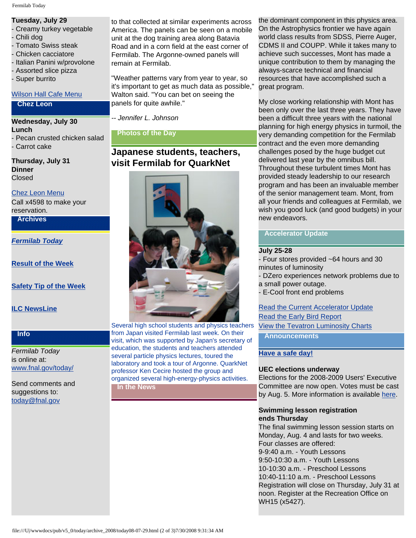#### Fermilab Today

## **Tuesday, July 29**

- Creamy turkey vegetable
- Chili dog
- Tomato Swiss steak
- Chicken cacciatore
- Italian Panini w/provolone
- Assorted slice pizza
- Super burrito

#### [Wilson Hall Cafe Menu](http://bss.fnal.gov/cafe/index.html)

#### **Chez Leon**

**Wednesday, July 30 Lunch** - Pecan crusted chicken salad - Carrot cake

**Thursday, July 31 Dinner** Closed

#### [Chez Leon Menu](http://bss.fnal.gov/chezleon/index.html)

Call x4598 to make your reservation.

**Archives**

*[Fermilab Today](http://www.fnal.gov/pub/today/archive.html)*

**[Result of the Week](http://www.fnal.gov/pub/today/resultoftheweek/index.html)**

**[Safety Tip of the Week](http://www.fnal.gov/pub/today/safety/)**

**[ILC NewsLine](http://www.linearcollider.org/newsline/archive/index.html)**

## **Info**

*Fermilab Today* is online at: [www.fnal.gov/today/](http://www.fnal.gov/today/)

Send comments and suggestions to: [today@fnal.gov](mailto:today@fnal.gov)

to that collected at similar experiments across America. The panels can be seen on a mobile unit at the dog training area along Batavia Road and in a corn field at the east corner of Fermilab. The Argonne-owned panels will remain at Fermilab.

"Weather patterns vary from year to year, so it's important to get as much data as possible," Walton said. "You can bet on seeing the panels for quite awhile."

*-- Jennifer L. Johnson*

**Photos of the Day**

# **Japanese students, teachers, visit Fermilab for QuarkNet**



Several high school students and physics teachers from Japan visited Fermilab last week. On their visit, which was supported by Japan's secretary of education, the students and teachers attended several particle physics lectures, toured the laboratory and took a tour of Argonne. QuarkNet professor Ken Cecire hosted the group and organized several high-energy-physics activities. **In the News**

the dominant component in this physics area. On the Astrophysics frontier we have again world class results from SDSS, Pierre Auger, CDMS II and COUPP. While it takes many to achieve such successes, Mont has made a unique contribution to them by managing the always-scarce technical and financial resources that have accomplished such a great program.

My close working relationship with Mont has been only over the last three years. They have been a difficult three years with the national planning for high energy physics in turmoil, the very demanding competition for the Fermilab contract and the even more demanding challenges posed by the huge budget cut delivered last year by the omnibus bill. Throughout these turbulent times Mont has provided steady leadership to our research program and has been an invaluable member of the senior management team. Mont, from all your friends and colleagues at Fermilab, we wish you good luck (and good budgets) in your new endeavors.

#### **Accelerator Update**

#### **July 25-28**

- Four stores provided ~64 hours and 30 minutes of luminosity

- DZero experiences network problems due to a small power outage.

- E-Cool front end problems

[Read the Current Accelerator Update](http://www.fnal.gov/pub/news08/update.html) [Read the Early Bird Report](http://www-bd.fnal.gov/earlybird/ebird.html) [View the Tevatron Luminosity Charts](http://www.fnal.gov/pub/now/tevlum.html)

**Announcements**

**[Have a safe day!](http://www.fnal.gov/pub/about/safety/profiles.html)**

## **UEC elections underway**

Elections for the 2008-2009 Users' Executive Committee are now open. Votes must be cast by Aug. 5. More information is available [here.](http://www.fnal.gov/orgs/fermilab_users_org/elections/2008/election.html)

#### **Swimming lesson registration ends Thursday**

The final swimming lesson session starts on Monday, Aug. 4 and lasts for two weeks. Four classes are offered: 9-9:40 a.m. - Youth Lessons 9:50-10:30 a.m. - Youth Lessons 10-10:30 a.m. - Preschool Lessons 10:40-11:10 a.m. - Preschool Lessons Registration will close on Thursday, July 31 at noon. Register at the Recreation Office on WH15 (x5427).